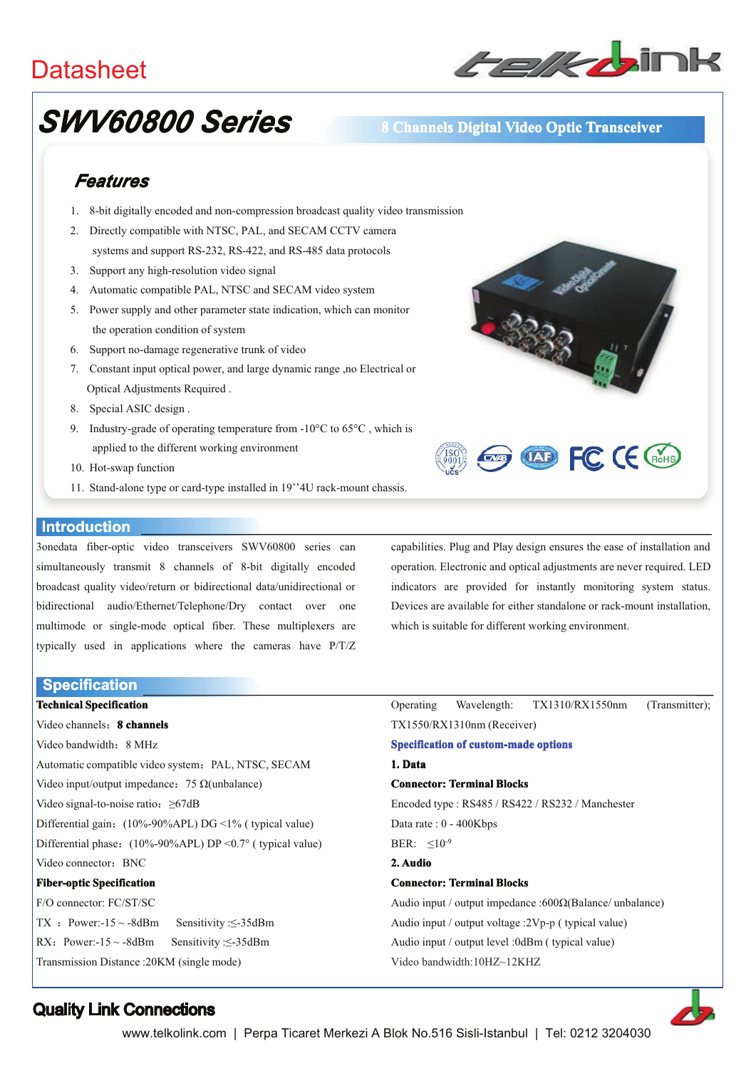## **Datasheet**



# **SWV60800 Series**

## 8 Channels Digital Video Optic Transceiver

## Features

- 1. 8-bit digitally encoded and non-compression broadcast quality video transmission
- 2. Directly compatible with NTSC, PAL, and SECAM CCTV camera systems and support RS-232, RS-422, and RS-485 data protocols
- 3. Support any high-resolution video signal
- 4. Automatic compatible PAL, NTSC and SECAM video system
- 5. Power supply and other parameter state indication, which can monitor the operation condition of system
- 6. Support no-damage regenerative trunk of video
- 7. Constant input optical power, and large dynamic range ,no Electrical or Optical Adjustments Required.
- 8. Special ASIC design.
- 9. Industry-grade of operating temperature from -10 $^{\circ}$ C to 65 $^{\circ}$ C, which is applied to the different working environment
- 10. Hot-swap function
- 11. Stand-alone type or card-type installed in 19"4U rack-mount chassis.

#### **Introduction**

3onedata fiber-optic video transceivers SWV60800 series can simultaneously transmit 8 channels of 8-bit digitally encoded broadcast quality video/return or bidirectional data/unidirectional or bidirectional audio/Ethernet/Telephone/Dry contact over one multimode or single-mode optical fiber. These multiplexers are typically used in applications where the cameras have P/T/Z

**Specification** 

**Technical Specification** Video channels: 8 channels Video bandwidth: 8 MHz Automatic compatible video system: PAL, NTSC, SECAM Video input/output impedance: 75  $\Omega$ (unbalance) Video signal-to-noise ratio:  $\geq 67$ dB Differential gain: (10%-90%APL) DG <1% (typical value) Differential phase:  $(10\% - 90\% APL) DP < 0.7$ ° (typical value) Video connector: BNC **Fiber-optic Specification** F/O connector: FC/ST/SC TX : Power:- $15 \sim -8$ dBm Sensitivity: $\leq -35$ dBm RX: Power:- $15 \sim -8$ dBm Sensitivity: $\leq -35$ dBm



capabilities. Plug and Play design ensures the ease of installation and operation. Electronic and optical adjustments are never required. LED indicators are provided for instantly monitoring system status. Devices are available for either standalone or rack-mount installation. which is suitable for different working environment.

|                                                          |  | Operating Wavelength: TX1310/RX1550nm (Transmitter); |  |
|----------------------------------------------------------|--|------------------------------------------------------|--|
| TX1550/RX1310nm (Receiver)                               |  |                                                      |  |
| <b>Specification of custom-made options</b>              |  |                                                      |  |
| 1. Data                                                  |  |                                                      |  |
| <b>Connector: Terminal Blocks</b>                        |  |                                                      |  |
| Encoded type: RS485 / RS422 / RS232 / Manchester         |  |                                                      |  |
| Data rate : $0 - 400Kbps$                                |  |                                                      |  |
| BER: $\leq 10^{-9}$                                      |  |                                                      |  |
| 2. Audio                                                 |  |                                                      |  |
| <b>Connector: Terminal Blocks</b>                        |  |                                                      |  |
| Audio input / output impedance :600Ω(Balance/ unbalance) |  |                                                      |  |
| Audio input / output voltage :2Vp-p ( typical value)     |  |                                                      |  |
|                                                          |  |                                                      |  |

Audio input / output level :0dBm ( typical value)

Video bandwidth:10HZ~12KHZ



### **Quality Link Connections**

Transmission Distance: 20KM (single mode)